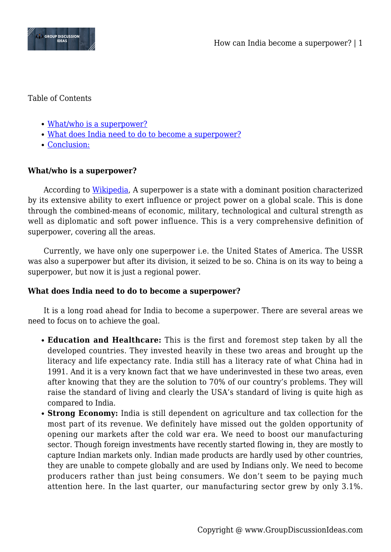

## Table of Contents

- [What/who is a superpower?](#page--1-0)
- [What does India need to do to become a superpower?](#page--1-0)
- [Conclusion:](#page--1-0)

## **What/who is a superpower?**

According to [Wikipedia,](http://wikipedia.org) A superpower is a state with a dominant position characterized by its extensive ability to exert influence or project power on a global scale. This is done through the combined-means of economic, military, technological and cultural strength as well as diplomatic and soft power influence. This is a very comprehensive definition of superpower, covering all the areas.

Currently, we have only one superpower i.e. the United States of America. The USSR was also a superpower but after its division, it seized to be so. China is on its way to being a superpower, but now it is just a regional power.

## **What does India need to do to become a superpower?**

It is a long road ahead for India to become a superpower. There are several areas we need to focus on to achieve the goal.

- **Education and Healthcare:** This is the first and foremost step taken by all the developed countries. They invested heavily in these two areas and brought up the literacy and life expectancy rate. India still has a literacy rate of what China had in 1991. And it is a very known fact that we have underinvested in these two areas, even after knowing that they are the solution to 70% of our country's problems. They will raise the standard of living and clearly the USA's standard of living is quite high as compared to India.
- **Strong Economy:** India is still dependent on agriculture and tax collection for the most part of its revenue. We definitely have missed out the golden opportunity of opening our markets after the cold war era. We need to boost our manufacturing sector. Though foreign investments have recently started flowing in, they are mostly to capture Indian markets only. Indian made products are hardly used by other countries, they are unable to compete globally and are used by Indians only. We need to become producers rather than just being consumers. We don't seem to be paying much attention here. In the last quarter, our manufacturing sector grew by only 3.1%.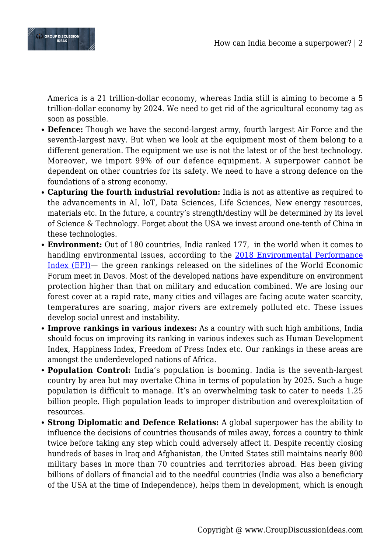

America is a 21 trillion-dollar economy, whereas India still is aiming to become a 5 trillion-dollar economy by 2024. We need to get rid of the agricultural economy tag as soon as possible.

- **Defence:** Though we have the second-largest army, fourth largest Air Force and the seventh-largest navy. But when we look at the equipment most of them belong to a different generation. The equipment we use is not the latest or of the best technology. Moreover, we import 99% of our defence equipment. A superpower cannot be dependent on other countries for its safety. We need to have a strong defence on the foundations of a strong economy.
- **Capturing the fourth industrial revolution:** India is not as attentive as required to the advancements in AI, IoT, Data Sciences, Life Sciences, New energy resources, materials etc. In the future, a country's strength/destiny will be determined by its level of Science & Technology. Forget about the USA we invest around one-tenth of China in these technologies.
- **Environment:** Out of 180 countries, India ranked 177, in the world when it comes to handling environmental issues, according to the [2018 Environmental Performance](https://epi.envirocenter.yale.edu/2018-epi-report/results) [Index \(EPI\)](https://epi.envirocenter.yale.edu/2018-epi-report/results)— the green rankings released on the sidelines of the World Economic Forum meet in Davos. Most of the developed nations have expenditure on environment protection higher than that on military and education combined. We are losing our forest cover at a rapid rate, many cities and villages are facing acute water scarcity, temperatures are soaring, major rivers are extremely polluted etc. These issues develop social unrest and instability.
- **Improve rankings in various indexes:** As a country with such high ambitions, India should focus on improving its ranking in various indexes such as Human Development Index, Happiness Index, Freedom of Press Index etc. Our rankings in these areas are amongst the underdeveloped nations of Africa.
- **Population Control:** India's population is booming. India is the seventh-largest country by area but may overtake China in terms of population by 2025. Such a huge population is difficult to manage. It's an overwhelming task to cater to needs 1.25 billion people. High population leads to improper distribution and overexploitation of resources.
- **Strong Diplomatic and Defence Relations:** A global superpower has the ability to influence the decisions of countries thousands of miles away, forces a country to think twice before taking any step which could adversely affect it. Despite recently closing hundreds of bases in Iraq and Afghanistan, the United States still maintains nearly 800 military bases in more than 70 countries and territories abroad. Has been giving billions of dollars of financial aid to the needful countries (India was also a beneficiary of the USA at the time of Independence), helps them in development, which is enough